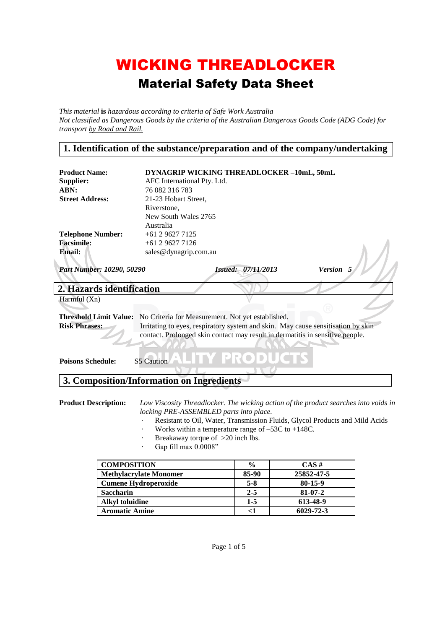# WICKING THREADLOCKER Material Safety Data Sheet

*This material* **is** *hazardous according to criteria of Safe Work Australia Not classified as Dangerous Goods by the criteria of the Australian Dangerous Goods Code (ADG Code) for transport by Road and Rail.*

### **1. Identification of the substance/preparation and of the company/undertaking**

| <b>Product Name:</b>      | DYNAGRIP WICKING THREADLOCKER-10mL, 50mL                                                                                                                          |  |  |
|---------------------------|-------------------------------------------------------------------------------------------------------------------------------------------------------------------|--|--|
| Supplier:                 | AFC International Pty. Ltd.                                                                                                                                       |  |  |
| ABN:                      | 76 082 316 783                                                                                                                                                    |  |  |
| <b>Street Address:</b>    | 21-23 Hobart Street,                                                                                                                                              |  |  |
|                           | Riverstone,                                                                                                                                                       |  |  |
|                           | New South Wales 2765                                                                                                                                              |  |  |
|                           | Australia                                                                                                                                                         |  |  |
| <b>Telephone Number:</b>  | $+61$ 2 9627 7125                                                                                                                                                 |  |  |
| <b>Facsimile:</b>         | $+61$ 2 9627 7126                                                                                                                                                 |  |  |
| <b>Email:</b>             | sales@dynagrip.com.au                                                                                                                                             |  |  |
| Part Number: 10290, 50290 | Version 5<br><i>Issued: 07/11/2013</i>                                                                                                                            |  |  |
| 2. Hazards identification |                                                                                                                                                                   |  |  |
| Harmful $(Xn)$            |                                                                                                                                                                   |  |  |
|                           |                                                                                                                                                                   |  |  |
|                           | Threshold Limit Value: No Criteria for Measurement. Not yet established.                                                                                          |  |  |
| <b>Risk Phrases:</b>      | Irritating to eyes, respiratory system and skin. May cause sensitisation by skin<br>contact. Prolonged skin contact may result in dermatitis in sensitive people. |  |  |
| <b>Poisons Schedule:</b>  | <b>LPROD</b><br>S5 Caution                                                                                                                                        |  |  |
|                           |                                                                                                                                                                   |  |  |
|                           | 3. Composition/Information on Ingredients                                                                                                                         |  |  |
|                           |                                                                                                                                                                   |  |  |
|                           | $\mathbf{r}$                                                                                                                                                      |  |  |

**Product Description:** *Low Viscosity Threadlocker. The wicking action of the product searches into voids in locking PRE-ASSEMBLED parts into place.*

- · Resistant to Oil, Water, Transmission Fluids, Glycol Products and Mild Acids
- · Works within a temperature range of –53C to +148C.
- · Breakaway torque of >20 inch lbs.
- · Gap fill max 0.0008"

| <b>COMPOSITION</b>            | $\frac{0}{0}$ | $CAS \#$      |
|-------------------------------|---------------|---------------|
| <b>Methylacrylate Monomer</b> | 85-90         | 25852-47-5    |
| <b>Cumene Hydroperoxide</b>   | $5 - 8$       | $80-15-9$     |
| <b>Saccharin</b>              | $2 - 5$       | $81 - 07 - 2$ |
| <b>Alkyl toluidine</b>        | $1-5$         | 613-48-9      |
| <b>Aromatic Amine</b>         | ا>            | 6029-72-3     |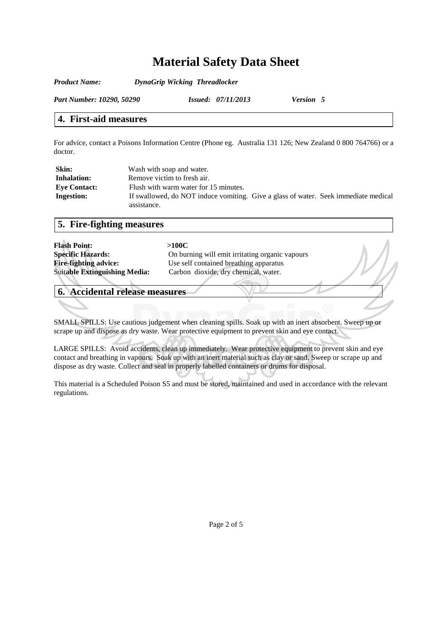*Product Name: DynaGrip Wicking Threadlocker*

*Part Number: 10290, 50290 Issued: 07/11/2013 Version 5*

#### **4. First-aid measures**

For advice, contact a Poisons Information Centre (Phone eg. Australia 131 126; New Zealand 0 800 764766) or a doctor.

| Skin:               | Wash with soap and water.                                                           |
|---------------------|-------------------------------------------------------------------------------------|
| <b>Inhalation:</b>  | Remove victim to fresh air.                                                         |
| <b>Eve Contact:</b> | Flush with warm water for 15 minutes.                                               |
| <b>Ingestion:</b>   | If swallowed, do NOT induce vomiting. Give a glass of water. Seek immediate medical |
|                     | assistance.                                                                         |

#### **5. Fire-fighting measures**

**Flash Point: >100C**

**Specific Hazards:** On burning will emit irritating organic vapours **Fire-fighting advice:** Use self contained breathing apparatus Suit**able Extinguishing Media:** Carbon dioxide, dry chemical, water.

#### **6. Accidental release measures**

SMALL SPILLS: Use cautious judgement when cleaning spills. Soak up with an inert absorbent. Sweep up or scrape up and dispose as dry waste. Wear protective equipment to prevent skin and eye contact.

LARGE SPILLS: Avoid accidents, clean up immediately. Wear protective equipment to prevent skin and eye contact and breathing in vapours. Soak up with an inert material such as clay or sand. Sweep or scrape up and dispose as dry waste. Collect and seal in properly labelled containers or drums for disposal.

This material is a Scheduled Poison S5 and must be stored, maintained and used in accordance with the relevant regulations.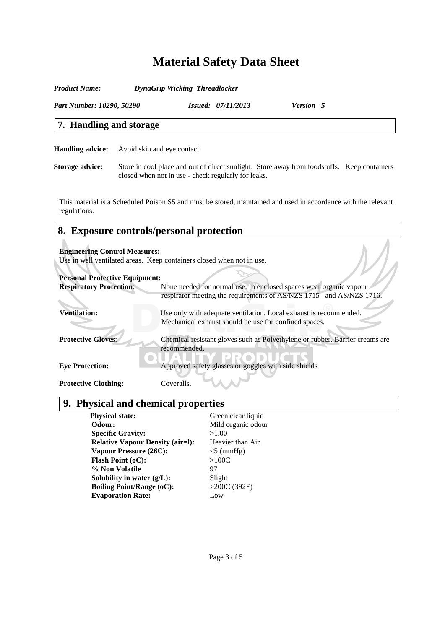*Product Name: DynaGrip Wicking Threadlocker Part Number: 10290, 50290 Issued: 07/11/2013 Version 5* **7. Handling and storage Handling advice:** Avoid skin and eye contact. **Storage advice:** Store in cool place and out of direct sunlight. Store away from foodstuffs. Keep containers closed when not in use - check regularly for leaks. This material is a Scheduled Poison S5 and must be stored, maintained and used in accordance with the relevant regulations. **8. Exposure controls/personal protection Engineering Control Measures:** Use in well ventilated areas. Keep containers closed when not in use. **Personal Protective Equipment: Respiratory Protection:** None needed for normal use. In enclosed spaces wear organic vapour

| <b>Respiratory Protection:</b> | None needed for normal use. In enclosed spaces wear organic vapour           |
|--------------------------------|------------------------------------------------------------------------------|
|                                | respirator meeting the requirements of AS/NZS 1715 and AS/NZS 1716.          |
|                                |                                                                              |
|                                |                                                                              |
| <b>Ventilation:</b>            | Use only with adequate ventilation. Local exhaust is recommended.            |
|                                | Mechanical exhaust should be use for confined spaces.                        |
|                                |                                                                              |
|                                |                                                                              |
| <b>Protective Gloves:</b>      | Chemical resistant gloves such as Polyethylene or rubber. Barrier creams are |
|                                | recommended.                                                                 |
|                                |                                                                              |
|                                |                                                                              |
| <b>Eye Protection:</b>         | Approved safety glasses or goggles with side shields                         |
|                                |                                                                              |
|                                |                                                                              |
| <b>Protective Clothing:</b>    | Coveralls.                                                                   |

### **9. Physical and chemical properties**

| <b>Physical state:</b>                  | Green clear liquid |
|-----------------------------------------|--------------------|
| Odour:                                  | Mild organic odour |
| <b>Specific Gravity:</b>                | >1.00              |
| <b>Relative Vapour Density (air=1):</b> | Heavier than Air   |
| Vapour Pressure (26C):                  | $<$ 5 (mmHg)       |
| <b>Flash Point (oC):</b>                | >100C              |
| % Non Volatile                          | 97                 |
| Solubility in water (g/L):              | Slight             |
| <b>Boiling Point/Range (oC):</b>        | >200C(392F)        |
| <b>Evaporation Rate:</b>                | Low                |
|                                         |                    |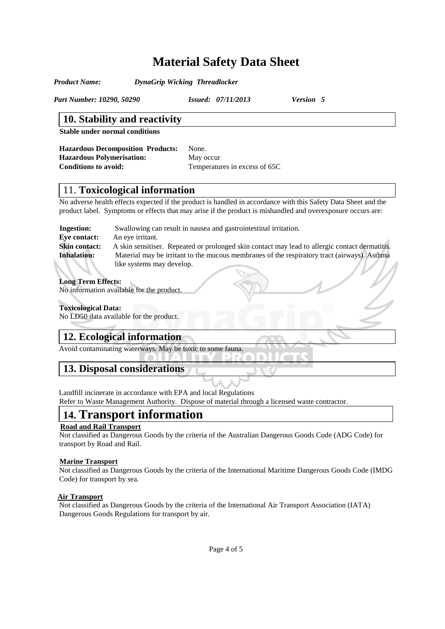*Product Name: DynaGrip Wicking Threadlocker*

*Part Number: 10290, 50290 Issued: 07/11/2013 Version 5*

## **10. Stability and reactivity**

 **Stable under normal conditions**

| <b>Hazardous Decomposition Products:</b> | None.                         |
|------------------------------------------|-------------------------------|
| <b>Hazardous Polymerisation:</b>         | May occur                     |
| Conditions to avoid:                     | Temperatures in excess of 65C |

### 11. **Toxicological information**

No adverse health effects expected if the product is handled in accordance with this Safety Data Sheet and the product label. Symptoms or effects that may arise if the product is mishandled and overexposure occurs are:

| <b>Ingestion:</b>    | Swallowing can result in nausea and gastrointestinal irritation.                               |
|----------------------|------------------------------------------------------------------------------------------------|
| <b>Eye contact:</b>  | An eye irritant.                                                                               |
| <b>Skin contact:</b> | A skin sensitiser. Repeated or prolonged skin contact may lead to allergic contact dermatitis. |
| <b>Inhalation:</b>   | Material may be irritant to the mucous membranes of the respiratory tract (airways). Asthma    |
|                      | like systems may develop.                                                                      |

#### **Long Term Effects:**

No information available for the product.

#### **Toxicological Data:**

No LD50 data available for the product.

## **12. Ecological information**

Avoid contaminating waterways. May be toxic to some fauna.

## **13. Disposal considerations**

 Landfill incinerate in accordance with EPA and local Regulations Refer to Waste Management Authority. Dispose of material through a licensed waste contractor.

## **14. Transport information**

#### **Road and Rail Transport**

Not classified as Dangerous Goods by the criteria of the Australian Dangerous Goods Code (ADG Code) for transport by Road and Rail.

#### **Marine Transport**

Not classified as Dangerous Goods by the criteria of the International Maritime Dangerous Goods Code (IMDG Code) for transport by sea.

#### **Air Transport**

Not classified as Dangerous Goods by the criteria of the International Air Transport Association (IATA) Dangerous Goods Regulations for transport by air.